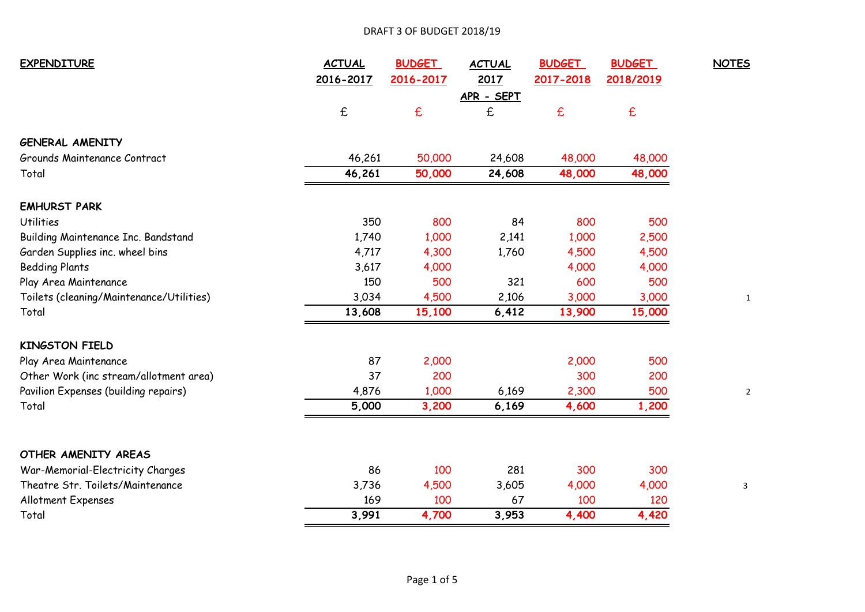## DRAFT 3 OF BUDGET 2018/19

| <b>EXPENDITURE</b>                       | <b>ACTUAL</b> | <b>BUDGET</b> | <b>ACTUAL</b> | <b>BUDGET</b> | <b>BUDGET</b> | <b>NOTES</b> |
|------------------------------------------|---------------|---------------|---------------|---------------|---------------|--------------|
|                                          | 2016-2017     | 2016-2017     | 2017          | 2017-2018     | 2018/2019     |              |
|                                          |               |               | APR - SEPT    |               |               |              |
|                                          | £             | $\mathbf f$   | £             | $\epsilon$    | £             |              |
| <b>GENERAL AMENITY</b>                   |               |               |               |               |               |              |
| Grounds Maintenance Contract             | 46,261        | 50,000        | 24,608        | 48,000        | 48,000        |              |
| Total                                    | 46,261        | 50,000        | 24,608        | 48,000        | 48,000        |              |
| <b>EMHURST PARK</b>                      |               |               |               |               |               |              |
| <b>Utilities</b>                         | 350           | 800           | 84            | 800           | 500           |              |
| Building Maintenance Inc. Bandstand      | 1,740         | 1,000         | 2,141         | 1,000         | 2,500         |              |
| Garden Supplies inc. wheel bins          | 4,717         | 4,300         | 1,760         | 4,500         | 4,500         |              |
| <b>Bedding Plants</b>                    | 3,617         | 4,000         |               | 4,000         | 4,000         |              |
| Play Area Maintenance                    | 150           | 500           | 321           | 600           | 500           |              |
| Toilets (cleaning/Maintenance/Utilities) | 3,034         | 4,500         | 2,106         | 3,000         | 3,000         |              |
| Total                                    | 13,608        | 15,100        | 6,412         | 13,900        | 15,000        |              |
| <b>KINGSTON FIELD</b>                    |               |               |               |               |               |              |
| Play Area Maintenance                    | 87            | 2,000         |               | 2,000         | 500           |              |
| Other Work (inc stream/allotment area)   | 37            | 200           |               | 300           | 200           |              |
| Pavilion Expenses (building repairs)     | 4,876         | 1,000         | 6,169         | 2,300         | 500           |              |
| Total                                    | 5,000         | 3,200         | 6,169         | 4,600         | 1,200         |              |
| OTHER AMENITY AREAS                      |               |               |               |               |               |              |
| War-Memorial-Electricity Charges         | 86            | 100           | 281           | 300           | 300           |              |
| Theatre Str. Toilets/Maintenance         | 3,736         | 4,500         | 3,605         | 4,000         | 4,000         | 3            |
| Allotment Expenses                       | 169           | 100           | 67            | 100           | 120           |              |
| Total                                    | 3,991         | 4,700         | 3,953         | 4,400         | 4,420         |              |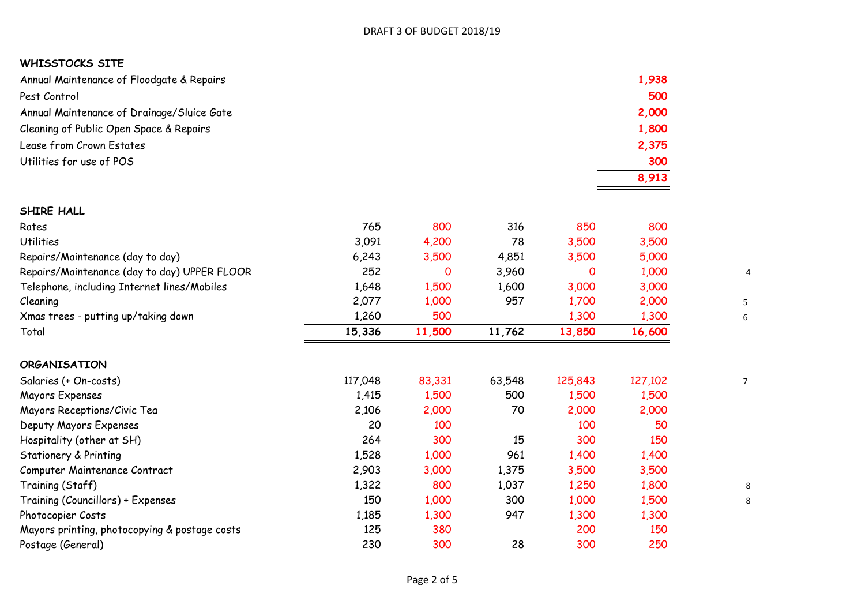## **WHISSTOCKS SITE**

| Annual Maintenance of Floodgate & Repairs  | 1,938 |
|--------------------------------------------|-------|
| Pest Control                               | 500   |
| Annual Maintenance of Drainage/Sluice Gate | 2,000 |
| Cleaning of Public Open Space & Repairs    | 1,800 |
| Lease from Crown Estates                   | 2,375 |
| Utilities for use of POS                   | 300   |
|                                            | 8,913 |

| SHIRE HALL                                   |         |        |        |         |         |
|----------------------------------------------|---------|--------|--------|---------|---------|
| Rates                                        | 765     | 800    | 316    | 850     | 800     |
| <b>Utilities</b>                             | 3,091   | 4,200  | 78     | 3,500   | 3,500   |
| Repairs/Maintenance (day to day)             | 6,243   | 3,500  | 4,851  | 3,500   | 5,000   |
| Repairs/Maintenance (day to day) UPPER FLOOR | 252     | 0      | 3,960  | 0       | 1,000   |
| Telephone, including Internet lines/Mobiles  | 1,648   | 1,500  | 1,600  | 3,000   | 3,000   |
| Cleaning                                     | 2,077   | 1,000  | 957    | 1,700   | 2,000   |
| Xmas trees - putting up/taking down          | 1,260   | 500    |        | 1,300   | 1,300   |
| Total                                        | 15,336  | 11,500 | 11,762 | 13,850  | 16,600  |
| <b>ORGANISATION</b>                          |         |        |        |         |         |
| Salaries (+ On-costs)                        | 117,048 | 83,331 | 63,548 | 125,843 | 127,102 |
| Mayors Expenses                              | 1,415   | 1,500  | 500    | 1,500   | 1,500   |
| Mayors Receptions/Civic Tea                  | 2,106   | 2,000  | 70     | 2,000   | 2,000   |
| Deputy Mayors Expenses                       | 20      | 100    |        | 100     | 50      |
| Hospitality (other at SH)                    | 264     | 300    | 15     | 300     | 150     |
| Stationery & Printing                        | 1,528   | 1,000  | 961    | 1,400   | 1,400   |

Computer Maintenance Contract 2,903 3,000 1,375 3,500 3,500

Photocopier Costs **1,185** 1,300 947 1,300 1,300 Mayors printing, photocopying & postage costs 125 125 380 200 200 150 Postage (General) 230 300 28 300 250

Training (Staff) 1,322 800 1,037 1,250 1,800 8 Training (Councillors) + Expenses 200 1,000 1,000 1,000 1,000 1,000 1,500 1,000 1,500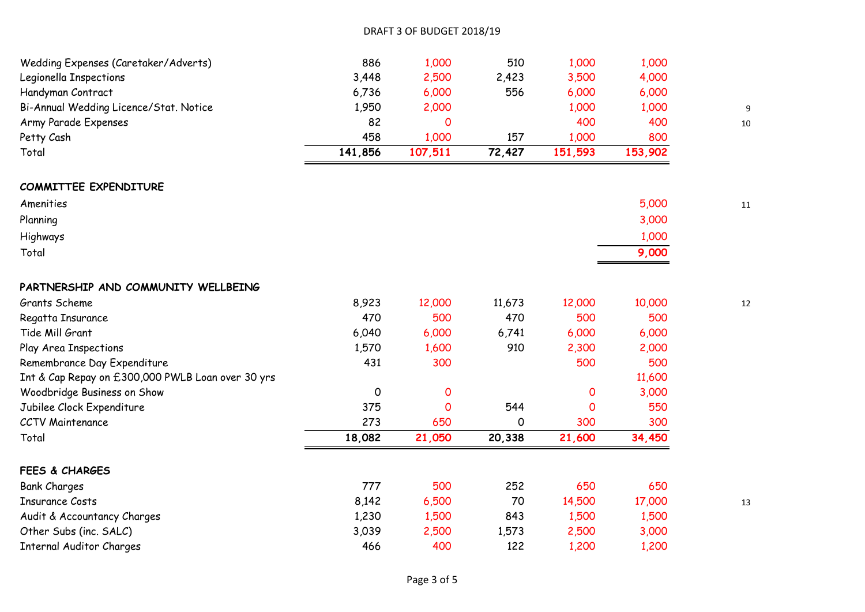| Wedding Expenses (Caretaker/Adverts)              | 886     | 1,000               | 510      | 1,000       | 1,000   |    |
|---------------------------------------------------|---------|---------------------|----------|-------------|---------|----|
| Legionella Inspections                            | 3,448   | 2,500               | 2,423    | 3,500       | 4,000   |    |
| Handyman Contract                                 | 6,736   | 6,000               | 556      | 6,000       | 6,000   |    |
| Bi-Annual Wedding Licence/Stat. Notice            | 1,950   | 2,000               |          | 1,000       | 1,000   |    |
| Army Parade Expenses                              | 82      | O                   |          | 400         | 400     | 10 |
| Petty Cash                                        | 458     | 1,000               | 157      | 1,000       | 800     |    |
| Total                                             | 141,856 | 107,511             | 72,427   | 151,593     | 153,902 |    |
| <b>COMMITTEE EXPENDITURE</b>                      |         |                     |          |             |         |    |
| Amenities                                         |         |                     |          |             | 5,000   | 11 |
| Planning                                          |         |                     |          |             | 3,000   |    |
| Highways                                          |         |                     |          |             | 1,000   |    |
| Total                                             |         |                     |          |             | 9,000   |    |
| PARTNERSHIP AND COMMUNITY WELLBEING               |         |                     |          |             |         |    |
| Grants Scheme                                     | 8,923   | 12,000              | 11,673   | 12,000      | 10,000  | 12 |
| Regatta Insurance                                 | 470     | 500                 | 470      | 500         | 500     |    |
| Tide Mill Grant                                   | 6,040   | 6,000               | 6,741    | 6,000       | 6,000   |    |
| Play Area Inspections                             | 1,570   | 1,600               | 910      | 2,300       | 2,000   |    |
| Remembrance Day Expenditure                       | 431     | 300                 |          | 500         | 500     |    |
| Int & Cap Repay on £300,000 PWLB Loan over 30 yrs |         |                     |          |             | 11,600  |    |
| Woodbridge Business on Show                       | 0       | $\mathsf{O}\xspace$ |          | $\mathbf 0$ | 3,000   |    |
| Jubilee Clock Expenditure                         | 375     | $\mathbf 0$         | 544      | O           | 550     |    |
| <b>CCTV Maintenance</b>                           | 273     | 650                 | $\Omega$ | 300         | 300     |    |
| Total                                             | 18,082  | 21,050              | 20,338   | 21,600      | 34,450  |    |
| <b>FEES &amp; CHARGES</b>                         |         |                     |          |             |         |    |
| <b>Bank Charges</b>                               | 777     | 500                 | 252      | 650         | 650     |    |
| <b>Insurance Costs</b>                            | 8,142   | 6,500               | 70       | 14,500      | 17,000  | 13 |
| Audit & Accountancy Charges                       | 1,230   | 1,500               | 843      | 1,500       | 1,500   |    |
| Other Subs (inc. SALC)                            | 3,039   | 2,500               | 1,573    | 2,500       | 3,000   |    |
| <b>Internal Auditor Charges</b>                   | 466     | 400                 | 122      | 1,200       | 1,200   |    |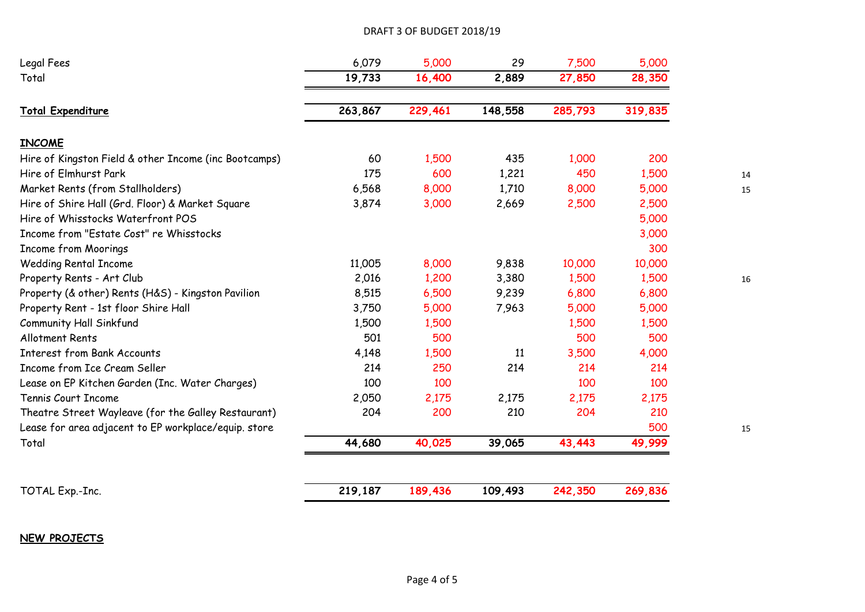## DRAFT 3 OF BUDGET 2018/19

| Legal Fees                                            | 6,079   | 5,000   | 29      | 7,500   | 5,000   |  |
|-------------------------------------------------------|---------|---------|---------|---------|---------|--|
| Total                                                 | 19,733  | 16,400  | 2,889   | 27,850  | 28,350  |  |
| <b>Total Expenditure</b>                              | 263,867 | 229,461 | 148,558 | 285,793 | 319,835 |  |
| <b>INCOME</b>                                         |         |         |         |         |         |  |
| Hire of Kingston Field & other Income (inc Bootcamps) | 60      | 1,500   | 435     | 1,000   | 200     |  |
| Hire of Elmhurst Park                                 | 175     | 600     | 1,221   | 450     | 1,500   |  |
| Market Rents (from Stallholders)                      | 6,568   | 8,000   | 1,710   | 8,000   | 5,000   |  |
| Hire of Shire Hall (Grd. Floor) & Market Square       | 3,874   | 3,000   | 2,669   | 2,500   | 2,500   |  |
| Hire of Whisstocks Waterfront POS                     |         |         |         |         | 5,000   |  |
| Income from "Estate Cost" re Whisstocks               |         |         |         |         | 3,000   |  |
| <b>Income from Moorings</b>                           |         |         |         |         | 300     |  |
| <b>Wedding Rental Income</b>                          | 11,005  | 8,000   | 9,838   | 10,000  | 10,000  |  |
| Property Rents - Art Club                             | 2,016   | 1,200   | 3,380   | 1,500   | 1,500   |  |
| Property (& other) Rents (H&S) - Kingston Pavilion    | 8,515   | 6,500   | 9,239   | 6,800   | 6,800   |  |
| Property Rent - 1st floor Shire Hall                  | 3,750   | 5,000   | 7,963   | 5,000   | 5,000   |  |
| <b>Community Hall Sinkfund</b>                        | 1,500   | 1,500   |         | 1,500   | 1,500   |  |
| <b>Allotment Rents</b>                                | 501     | 500     |         | 500     | 500     |  |
| <b>Interest from Bank Accounts</b>                    | 4,148   | 1,500   | 11      | 3,500   | 4,000   |  |
| Income from Ice Cream Seller                          | 214     | 250     | 214     | 214     | 214     |  |
| Lease on EP Kitchen Garden (Inc. Water Charges)       | 100     | 100     |         | 100     | 100     |  |
| Tennis Court Income                                   | 2,050   | 2,175   | 2,175   | 2,175   | 2,175   |  |
| Theatre Street Wayleave (for the Galley Restaurant)   | 204     | 200     | 210     | 204     | 210     |  |
| Lease for area adjacent to EP workplace/equip. store  |         |         |         |         | 500     |  |
| Total                                                 | 44,680  | 40,025  | 39,065  | 43,443  | 49,999  |  |
|                                                       |         |         |         |         |         |  |
| TOTAL Exp.-Inc.                                       | 219,187 | 189,436 | 109,493 | 242,350 | 269,836 |  |

**NEW PROJECTS**